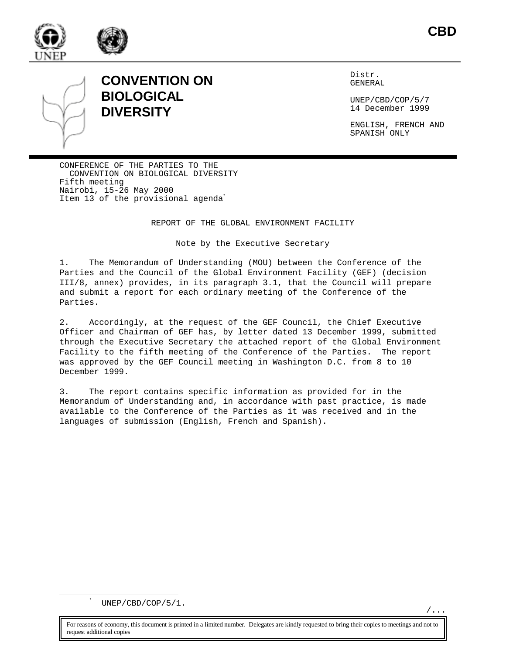



Distr. GENERAL

UNEP/CBD/COP/5/7 14 December 1999

ENGLISH, FRENCH AND SPANISH ONLY

**CBD**

/...

CONFERENCE OF THE PARTIES TO THE CONVENTION ON BIOLOGICAL DIVERSITY Fifth meeting Nairobi, 15-26 May 2000 Item 13 of the provisional agenda<sup>\*</sup>

REPORT OF THE GLOBAL ENVIRONMENT FACILITY

Note by the Executive Secretary

1. The Memorandum of Understanding (MOU) between the Conference of the Parties and the Council of the Global Environment Facility (GEF) (decision III/8, annex) provides, in its paragraph 3.1, that the Council will prepare and submit a report for each ordinary meeting of the Conference of the Parties.

2. Accordingly, at the request of the GEF Council, the Chief Executive Officer and Chairman of GEF has, by letter dated 13 December 1999, submitted through the Executive Secretary the attached report of the Global Environment Facility to the fifth meeting of the Conference of the Parties. The report was approved by the GEF Council meeting in Washington D.C. from 8 to 10 December 1999.

3. The report contains specific information as provided for in the Memorandum of Understanding and, in accordance with past practice, is made available to the Conference of the Parties as it was received and in the languages of submission (English, French and Spanish).

UNEP/CBD/COP/5/1.

\*

For reasons of economy, this document is printed in a limited number. Delegates are kindly requested to bring their copies to meetings and not to request additional copies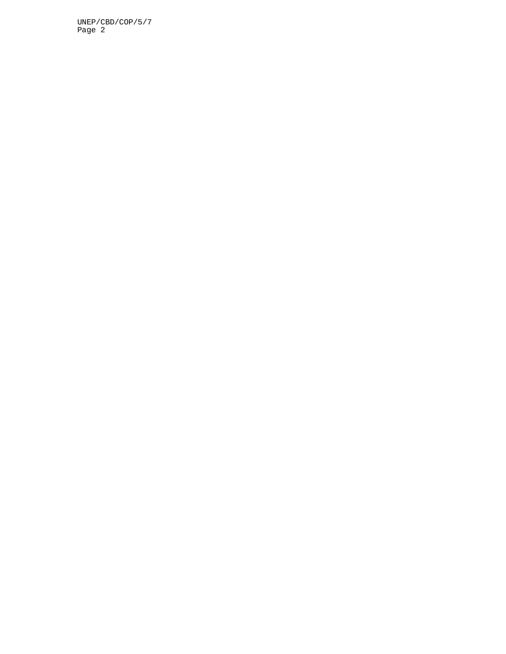UNEP/CBD/COP/5/7 Page 2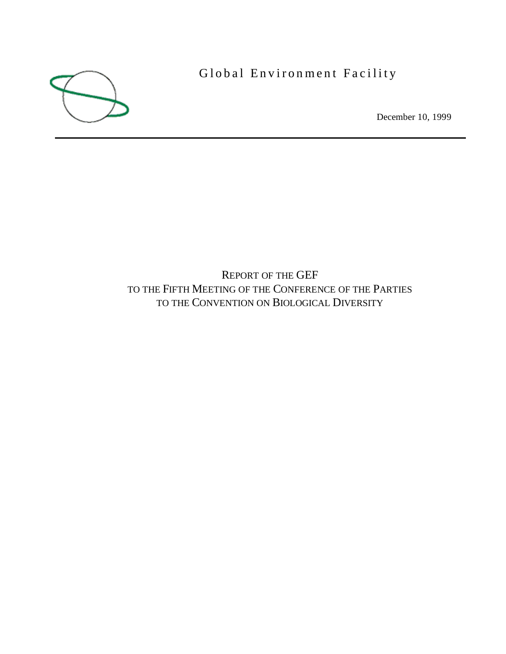

Global Environment Facility

December 10, 1999

REPORT OF THE GEF TO THE FIFTH MEETING OF THE CONFERENCE OF THE PARTIES TO THE CONVENTION ON BIOLOGICAL DIVERSITY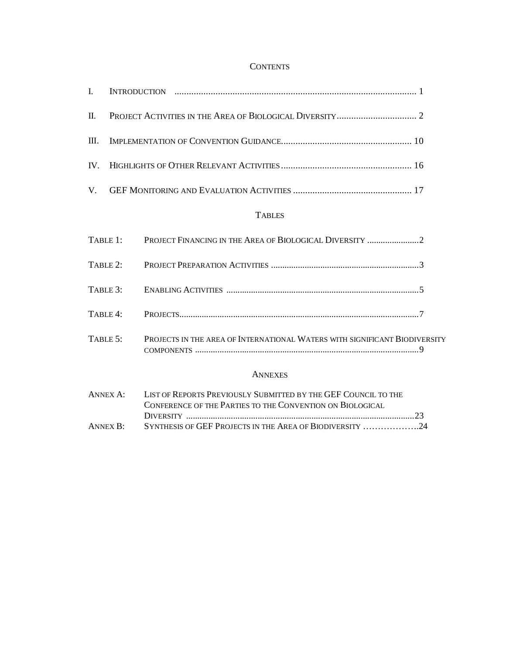## **CONTENTS**

# TABLES

| TABLE 5: PROJECTS IN THE AREA OF INTERNATIONAL WATERS WITH SIGNIFICANT BIODIVERSITY |  |
|-------------------------------------------------------------------------------------|--|

## ANNEXES

| ANNEX A: LIST OF REPORTS PREVIOUSLY SUBMITTED BY THE GEF COUNCIL TO THE |  |
|-------------------------------------------------------------------------|--|
| CONFERENCE OF THE PARTIES TO THE CONVENTION ON BIOLOGICAL               |  |
|                                                                         |  |
| ANNEX B: SYNTHESIS OF GEF PROJECTS IN THE AREA OF BIODIVERSITY 24       |  |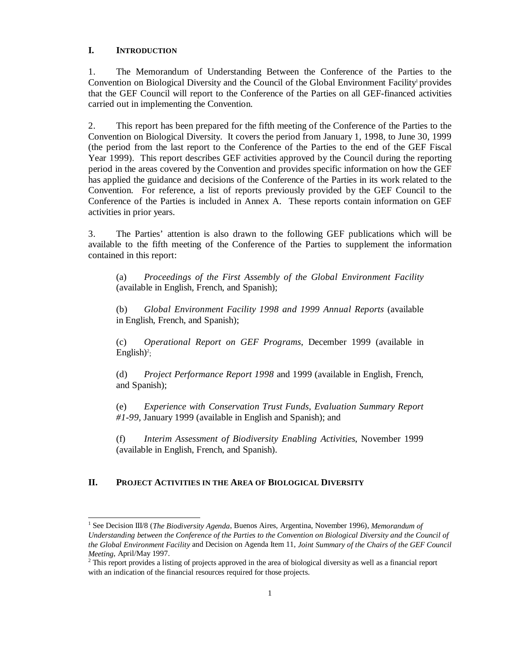## **I. INTRODUCTION**

1. The Memorandum of Understanding Between the Conference of the Parties to the Convention on Biological Diversity and the Council of the Global Environment Facility<sup>1</sup> provides that the GEF Council will report to the Conference of the Parties on all GEF-financed activities carried out in implementing the Convention.

2. This report has been prepared for the fifth meeting of the Conference of the Parties to the Convention on Biological Diversity. It covers the period from January 1, 1998, to June 30, 1999 (the period from the last report to the Conference of the Parties to the end of the GEF Fiscal Year 1999). This report describes GEF activities approved by the Council during the reporting period in the areas covered by the Convention and provides specific information on how the GEF has applied the guidance and decisions of the Conference of the Parties in its work related to the Convention. For reference, a list of reports previously provided by the GEF Council to the Conference of the Parties is included in Annex A. These reports contain information on GEF activities in prior years.

3. The Parties' attention is also drawn to the following GEF publications which will be available to the fifth meeting of the Conference of the Parties to supplement the information contained in this report:

(a) *Proceedings of the First Assembly of the Global Environment Facility* (available in English, French, and Spanish);

(b) *Global Environment Facility 1998 and 1999 Annual Reports* (available in English, French, and Spanish);

(c) *Operational Report on GEF Programs*, December 1999 (available in English $)^2$ ;

(d) *Project Performance Report 1998* and 1999 (available in English, French, and Spanish);

(e) *Experience with Conservation Trust Funds, Evaluation Summary Report #1-99*, January 1999 (available in English and Spanish); and

(f) *Interim Assessment of Biodiversity Enabling Activities*, November 1999 (available in English, French, and Spanish).

## **II. PROJECT ACTIVITIES IN THE AREA OF BIOLOGICAL DIVERSITY**

<sup>1</sup> See Decision III/8 (*The Biodiversity Agenda*, Buenos Aires, Argentina, November 1996), *Memorandum of Understanding between the Conference of the Parties to the Convention on Biological Diversity and the Council of the Global Environment Facility* and Decision on Agenda Item 11, *Joint Summary of the Chairs of the GEF Council Meeting*, April/May 1997.

 $2$  This report provides a listing of projects approved in the area of biological diversity as well as a financial report with an indication of the financial resources required for those projects.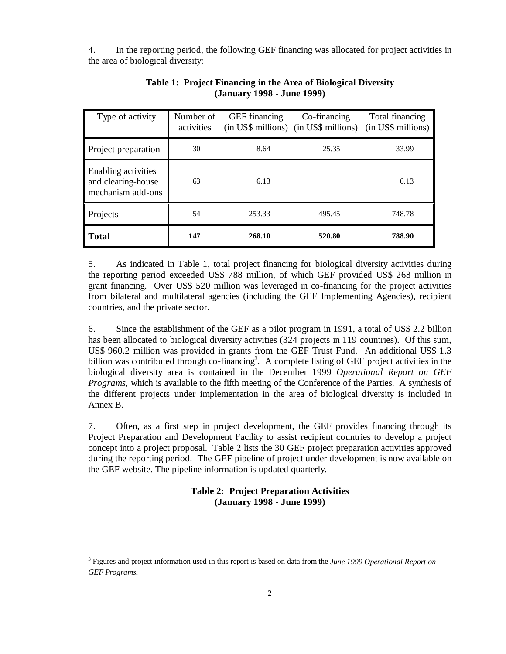4. In the reporting period, the following GEF financing was allocated for project activities in the area of biological diversity:

| Type of activity                                               | Number of<br>activities | <b>GEF</b> financing<br>(in US\$ millions) | Co-financing<br>(in US\$ millions) | Total financing<br>(in US\$ millions) |
|----------------------------------------------------------------|-------------------------|--------------------------------------------|------------------------------------|---------------------------------------|
| Project preparation                                            | 30                      | 8.64                                       | 25.35                              | 33.99                                 |
| Enabling activities<br>and clearing-house<br>mechanism add-ons | 63                      | 6.13                                       |                                    | 6.13                                  |
| Projects                                                       | 54                      | 253.33                                     | 495.45                             | 748.78                                |
| Total                                                          | 147                     | 268.10                                     | 520.80                             | 788.90                                |

## **Table 1: Project Financing in the Area of Biological Diversity (January 1998 - June 1999)**

5. As indicated in Table 1, total project financing for biological diversity activities during the reporting period exceeded US\$ 788 million, of which GEF provided US\$ 268 million in grant financing. Over US\$ 520 million was leveraged in co-financing for the project activities from bilateral and multilateral agencies (including the GEF Implementing Agencies), recipient countries, and the private sector.

6. Since the establishment of the GEF as a pilot program in 1991, a total of US\$ 2.2 billion has been allocated to biological diversity activities (324 projects in 119 countries). Of this sum, US\$ 960.2 million was provided in grants from the GEF Trust Fund. An additional US\$ 1.3 billion was contributed through co-financing<sup>3</sup>. A complete listing of GEF project activities in the biological diversity area is contained in the December 1999 *Operational Report on GEF Programs*, which is available to the fifth meeting of the Conference of the Parties. A synthesis of the different projects under implementation in the area of biological diversity is included in Annex B.

7. Often, as a first step in project development, the GEF provides financing through its Project Preparation and Development Facility to assist recipient countries to develop a project concept into a project proposal. Table 2 lists the 30 GEF project preparation activities approved during the reporting period. The GEF pipeline of project under development is now available on the GEF website. The pipeline information is updated quarterly.

## **Table 2: Project Preparation Activities (January 1998 - June 1999)**

<sup>3</sup> Figures and project information used in this report is based on data from the *June 1999 Operational Report on GEF Programs.*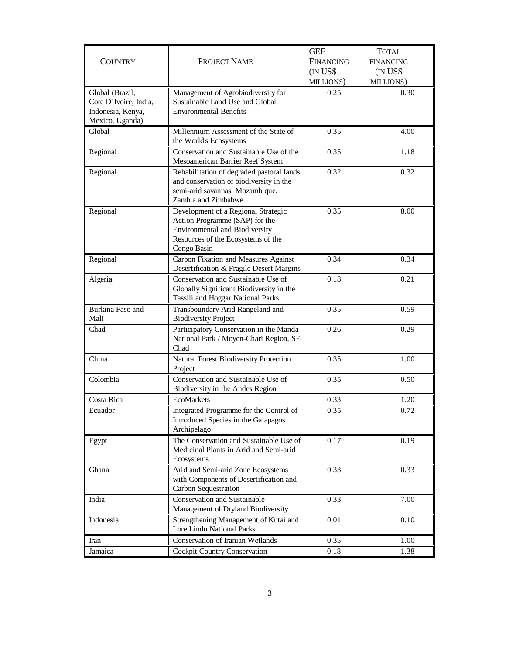|                                                                                  |                                                                                                                                                                     | <b>GEF</b>        | <b>TOTAL</b>     |
|----------------------------------------------------------------------------------|---------------------------------------------------------------------------------------------------------------------------------------------------------------------|-------------------|------------------|
| <b>COUNTRY</b>                                                                   | PROJECT NAME                                                                                                                                                        | <b>FINANCING</b>  | <b>FINANCING</b> |
|                                                                                  |                                                                                                                                                                     | (IN <sub>US</sub> | $($ IN US\$      |
|                                                                                  |                                                                                                                                                                     | MILLIONS)         | MILLIONS)        |
| Global (Brazil,<br>Cote D'Ivoire, India,<br>Indonesia, Kenya,<br>Mexico, Uganda) | Management of Agrobiodiversity for<br>Sustainable Land Use and Global<br><b>Environmental Benefits</b>                                                              | 0.25              | 0.30             |
| Global                                                                           | Millennium Assessment of the State of<br>the World's Ecosystems                                                                                                     | 0.35              | 4.00             |
| Regional                                                                         | Conservation and Sustainable Use of the<br>Mesoamerican Barrier Reef System                                                                                         | 0.35              | 1.18             |
| Regional                                                                         | Rehabilitation of degraded pastoral lands<br>and conservation of biodiversity in the<br>semi-arid savannas, Mozambique,<br>Zambia and Zimbabwe                      | 0.32              | 0.32             |
| Regional                                                                         | Development of a Regional Strategic<br>Action Programme (SAP) for the<br><b>Environmental and Biodiversity</b><br>Resources of the Ecosystems of the<br>Congo Basin | 0.35              | 8.00             |
| Regional                                                                         | Carbon Fixation and Measures Against<br>Desertification & Fragile Desert Margins                                                                                    | 0.34              | 0.34             |
| Algeria                                                                          | Conservation and Sustainable Use of<br>Globally Significant Biodiversity in the<br>Tassili and Hoggar National Parks                                                | 0.18              | 0.21             |
| Burkina Faso and<br>Mali                                                         | Transboundary Arid Rangeland and<br><b>Biodiversity Project</b>                                                                                                     | 0.35              | 0.59             |
| Chad                                                                             | Participatory Conservation in the Manda<br>National Park / Moyen-Chari Region, SE<br>Chad                                                                           | 0.26              | 0.29             |
| China                                                                            | Natural Forest Biodiversity Protection<br>Project                                                                                                                   | 0.35              | 1.00             |
| Colombia                                                                         | Conservation and Sustainable Use of<br>Biodiversity in the Andes Region                                                                                             | 0.35              | 0.50             |
| Costa Rica                                                                       | EcoMarkets                                                                                                                                                          | 0.33              | 1.20             |
| Ecuador                                                                          | Integrated Programme for the Control of<br>Introduced Species in the Galapagos<br>Archipelago                                                                       | 0.35              | 0.72             |
| Egypt                                                                            | The Conservation and Sustainable Use of<br>Medicinal Plants in Arid and Semi-arid<br>Ecosystems                                                                     | 0.17              | 0.19             |
| Ghana                                                                            | Arid and Semi-arid Zone Ecosystems<br>with Components of Desertification and<br>Carbon Sequestration                                                                | 0.33              | 0.33             |
| India                                                                            | <b>Conservation and Sustainable</b><br>Management of Dryland Biodiversity                                                                                           | 0.33              | 7.00             |
| Indonesia                                                                        | Strengthening Management of Kutai and<br>Lore Lindu National Parks                                                                                                  | 0.01              | 0.10             |
| Iran                                                                             | Conservation of Iranian Wetlands                                                                                                                                    | 0.35              | 1.00             |
| Jamaica                                                                          | <b>Cockpit Country Conservation</b>                                                                                                                                 | 0.18              | 1.38             |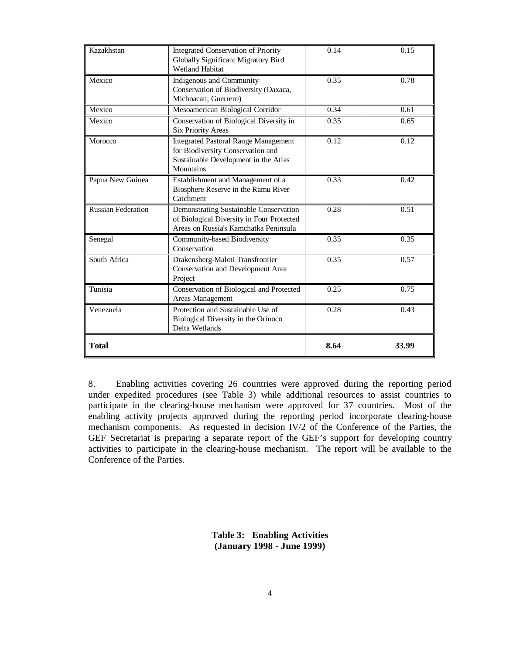| Kazakhstan                | <b>Integrated Conservation of Priority</b><br>Globally Significant Migratory Bird<br><b>Wetland Habitat</b>                           | 0.14 | 0.15  |
|---------------------------|---------------------------------------------------------------------------------------------------------------------------------------|------|-------|
| Mexico                    | Indigenous and Community<br>Conservation of Biodiversity (Oaxaca,<br>Michoacan, Guerrero)                                             | 0.35 | 0.78  |
| Mexico                    | Mesoamerican Biological Corridor                                                                                                      | 0.34 | 0.61  |
| Mexico                    | Conservation of Biological Diversity in<br><b>Six Priority Areas</b>                                                                  | 0.35 | 0.65  |
| Morocco                   | <b>Integrated Pastoral Range Management</b><br>for Biodiversity Conservation and<br>Sustainable Development in the Atlas<br>Mountains | 0.12 | 0.12  |
| Papua New Guinea          | Establishment and Management of a<br>Biosphere Reserve in the Ramu River<br>Catchment                                                 | 0.33 | 0.42  |
| <b>Russian Federation</b> | Demonstrating Sustainable Conservation<br>of Biological Diversity in Four Protected<br>Areas on Russia's Kamchatka Peninsula          | 0.28 | 0.51  |
| Senegal                   | Community-based Biodiversity<br>Conservation                                                                                          | 0.35 | 0.35  |
| South Africa              | Drakensberg-Maloti Transfrontier<br>Conservation and Development Area<br>Project                                                      | 0.35 | 0.57  |
| Tunisia                   | Conservation of Biological and Protected<br>Areas Management                                                                          | 0.25 | 0.75  |
| Venezuela                 | Protection and Sustainable Use of<br>Biological Diversity in the Orinoco<br>Delta Wetlands                                            | 0.28 | 0.43  |
| <b>Total</b>              |                                                                                                                                       | 8.64 | 33.99 |

8. Enabling activities covering 26 countries were approved during the reporting period under expedited procedures (see Table 3) while additional resources to assist countries to participate in the clearing-house mechanism were approved for 37 countries. Most of the enabling activity projects approved during the reporting period incorporate clearing-house mechanism components. As requested in decision IV/2 of the Conference of the Parties, the GEF Secretariat is preparing a separate report of the GEF's support for developing country activities to participate in the clearing-house mechanism. The report will be available to the Conference of the Parties.

> **Table 3: Enabling Activities (January 1998 - June 1999)**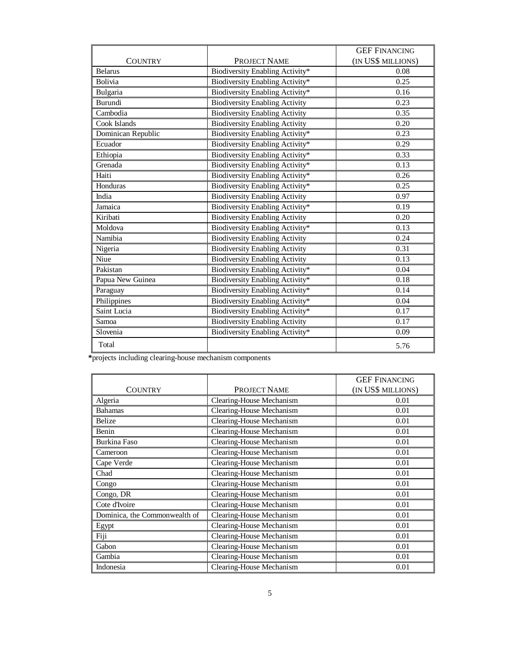|                    |                                       | <b>GEF FINANCING</b> |
|--------------------|---------------------------------------|----------------------|
| <b>COUNTRY</b>     | <b>PROJECT NAME</b>                   | (IN US\$ MILLIONS)   |
| <b>Belarus</b>     | Biodiversity Enabling Activity*       | 0.08                 |
| Bolivia            | Biodiversity Enabling Activity*       | 0.25                 |
| Bulgaria           | Biodiversity Enabling Activity*       | 0.16                 |
| <b>Burundi</b>     | <b>Biodiversity Enabling Activity</b> | 0.23                 |
| Cambodia           | <b>Biodiversity Enabling Activity</b> | 0.35                 |
| Cook Islands       | <b>Biodiversity Enabling Activity</b> | 0.20                 |
| Dominican Republic | Biodiversity Enabling Activity*       | 0.23                 |
| Ecuador            | Biodiversity Enabling Activity*       | 0.29                 |
| Ethiopia           | Biodiversity Enabling Activity*       | 0.33                 |
| Grenada            | Biodiversity Enabling Activity*       | 0.13                 |
| Haiti              | Biodiversity Enabling Activity*       | 0.26                 |
| Honduras           | Biodiversity Enabling Activity*       | 0.25                 |
| India              | <b>Biodiversity Enabling Activity</b> | 0.97                 |
| Jamaica            | Biodiversity Enabling Activity*       | 0.19                 |
| Kiribati           | <b>Biodiversity Enabling Activity</b> | 0.20                 |
| Moldova            | Biodiversity Enabling Activity*       | 0.13                 |
| Namibia            | <b>Biodiversity Enabling Activity</b> | 0.24                 |
| Nigeria            | <b>Biodiversity Enabling Activity</b> | 0.31                 |
| Niue               | <b>Biodiversity Enabling Activity</b> | 0.13                 |
| Pakistan           | Biodiversity Enabling Activity*       | 0.04                 |
| Papua New Guinea   | Biodiversity Enabling Activity*       | 0.18                 |
| Paraguay           | Biodiversity Enabling Activity*       | 0.14                 |
| Philippines        | Biodiversity Enabling Activity*       | 0.04                 |
| Saint Lucia        | Biodiversity Enabling Activity*       | 0.17                 |
| Samoa              | <b>Biodiversity Enabling Activity</b> | 0.17                 |
| Slovenia           | Biodiversity Enabling Activity*       | 0.09                 |
| Total              |                                       | 5.76                 |

**\***projects including clearing-house mechanism components

|                               |                          | <b>GEF FINANCING</b> |
|-------------------------------|--------------------------|----------------------|
| <b>COUNTRY</b>                | PROJECT NAME             | (IN US\$ MILLIONS)   |
| Algeria                       | Clearing-House Mechanism | 0.01                 |
| <b>Bahamas</b>                | Clearing-House Mechanism | 0.01                 |
| Belize                        | Clearing-House Mechanism | 0.01                 |
| Benin                         | Clearing-House Mechanism | 0.01                 |
| Burkina Faso                  | Clearing-House Mechanism | 0.01                 |
| Cameroon                      | Clearing-House Mechanism | 0.01                 |
| Cape Verde                    | Clearing-House Mechanism | 0.01                 |
| Chad                          | Clearing-House Mechanism | 0.01                 |
| Congo                         | Clearing-House Mechanism | 0.01                 |
| Congo, DR                     | Clearing-House Mechanism | 0.01                 |
| Cote d'Ivoire                 | Clearing-House Mechanism | 0.01                 |
| Dominica, the Commonwealth of | Clearing-House Mechanism | 0.01                 |
| Egypt                         | Clearing-House Mechanism | 0.01                 |
| Fiji                          | Clearing-House Mechanism | 0.01                 |
| Gabon                         | Clearing-House Mechanism | 0.01                 |
| Gambia                        | Clearing-House Mechanism | 0.01                 |
| Indonesia                     | Clearing-House Mechanism | 0.01                 |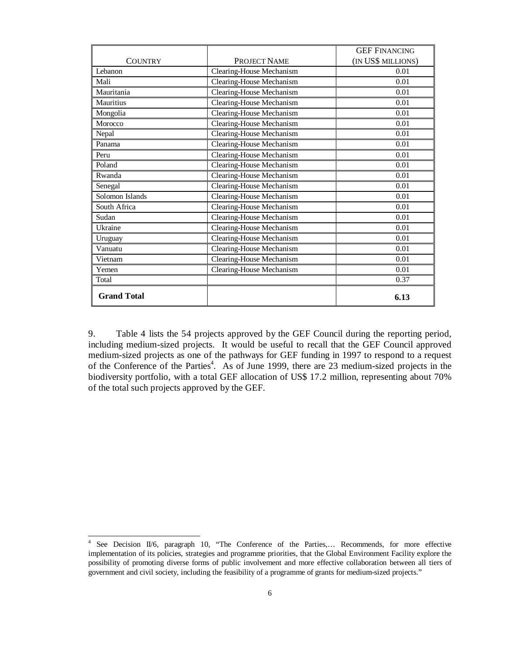|                    |                          | <b>GEF FINANCING</b> |
|--------------------|--------------------------|----------------------|
| <b>COUNTRY</b>     | PROJECT NAME             | (IN US\$ MILLIONS)   |
| Lebanon            | Clearing-House Mechanism | 0.01                 |
| Mali               | Clearing-House Mechanism | 0.01                 |
| Mauritania         | Clearing-House Mechanism | 0.01                 |
| Mauritius          | Clearing-House Mechanism | 0.01                 |
| Mongolia           | Clearing-House Mechanism | 0.01                 |
| Morocco            | Clearing-House Mechanism | 0.01                 |
| Nepal              | Clearing-House Mechanism | 0.01                 |
| Panama             | Clearing-House Mechanism | 0.01                 |
| Peru               | Clearing-House Mechanism | 0.01                 |
| Poland             | Clearing-House Mechanism | 0.01                 |
| Rwanda             | Clearing-House Mechanism | 0.01                 |
| Senegal            | Clearing-House Mechanism | 0.01                 |
| Solomon Islands    | Clearing-House Mechanism | 0.01                 |
| South Africa       | Clearing-House Mechanism | 0.01                 |
| Sudan              | Clearing-House Mechanism | 0.01                 |
| Ukraine            | Clearing-House Mechanism | 0.01                 |
| Uruguay            | Clearing-House Mechanism | 0.01                 |
| Vanuatu            | Clearing-House Mechanism | 0.01                 |
| Vietnam            | Clearing-House Mechanism | 0.01                 |
| Yemen              | Clearing-House Mechanism | 0.01                 |
| Total              |                          | 0.37                 |
| <b>Grand Total</b> |                          | 6.13                 |

9. Table 4 lists the 54 projects approved by the GEF Council during the reporting period, including medium-sized projects. It would be useful to recall that the GEF Council approved medium-sized projects as one of the pathways for GEF funding in 1997 to respond to a request of the Conference of the Parties<sup>4</sup>. As of June 1999, there are 23 medium-sized projects in the biodiversity portfolio, with a total GEF allocation of US\$ 17.2 million, representing about 70% of the total such projects approved by the GEF.

<sup>&</sup>lt;sup>4</sup> See Decision II/6, paragraph 10, "The Conference of the Parties,... Recommends, for more effective implementation of its policies, strategies and programme priorities, that the Global Environment Facility explore the possibility of promoting diverse forms of public involvement and more effective collaboration between all tiers of government and civil society, including the feasibility of a programme of grants for medium-sized projects."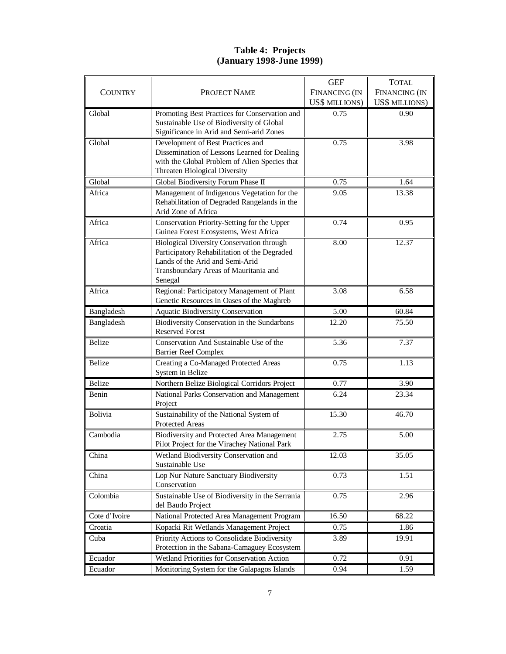### **Table 4: Projects (January 1998-June 1999)**

|                |                                                                     | <b>GEF</b>     | <b>TOTAL</b>   |
|----------------|---------------------------------------------------------------------|----------------|----------------|
| <b>COUNTRY</b> | PROJECT NAME                                                        | FINANCING (IN  | FINANCING (IN  |
|                |                                                                     | US\$ MILLIONS) | US\$ MILLIONS) |
| Global         | Promoting Best Practices for Conservation and                       | 0.75           | 0.90           |
|                | Sustainable Use of Biodiversity of Global                           |                |                |
|                | Significance in Arid and Semi-arid Zones                            |                |                |
| Global         | Development of Best Practices and                                   | 0.75           | 3.98           |
|                | Dissemination of Lessons Learned for Dealing                        |                |                |
|                | with the Global Problem of Alien Species that                       |                |                |
|                | <b>Threaten Biological Diversity</b>                                |                |                |
| Global         | Global Biodiversity Forum Phase II                                  | 0.75           | 1.64           |
| Africa         | Management of Indigenous Vegetation for the                         | 9.05           | 13.38          |
|                | Rehabilitation of Degraded Rangelands in the<br>Arid Zone of Africa |                |                |
| Africa         | Conservation Priority-Setting for the Upper                         | 0.74           | 0.95           |
|                | Guinea Forest Ecosystems, West Africa                               |                |                |
| Africa         | <b>Biological Diversity Conservation through</b>                    | 8.00           | 12.37          |
|                | Participatory Rehabilitation of the Degraded                        |                |                |
|                | Lands of the Arid and Semi-Arid                                     |                |                |
|                | Transboundary Areas of Mauritania and                               |                |                |
|                | Senegal                                                             |                |                |
| Africa         | Regional: Participatory Management of Plant                         | 3.08           | 6.58           |
|                | Genetic Resources in Oases of the Maghreb                           |                |                |
| Bangladesh     | Aquatic Biodiversity Conservation                                   | 5.00           | 60.84          |
| Bangladesh     | Biodiversity Conservation in the Sundarbans                         | 12.20          | 75.50          |
|                | <b>Reserved Forest</b>                                              |                |                |
| Belize         | Conservation And Sustainable Use of the                             | 5.36           | 7.37           |
|                | <b>Barrier Reef Complex</b>                                         |                |                |
| Belize         | Creating a Co-Managed Protected Areas                               | 0.75           | 1.13           |
|                | System in Belize                                                    |                |                |
| Belize         | Northern Belize Biological Corridors Project                        | 0.77           | 3.90           |
| Benin          | National Parks Conservation and Management                          | 6.24           | 23.34          |
|                | Project                                                             |                |                |
| Bolivia        | Sustainability of the National System of<br>Protected Areas         | 15.30          | 46.70          |
| Cambodia       | Biodiversity and Protected Area Management                          | 2.75           | 5.00           |
|                | Pilot Project for the Virachev National Park                        |                |                |
| China          | Wetland Biodiversity Conservation and                               | 12.03          | 35.05          |
|                | Sustainable Use                                                     |                |                |
| China          | Lop Nur Nature Sanctuary Biodiversity                               | 0.73           | 1.51           |
|                | Conservation                                                        |                |                |
| Colombia       | Sustainable Use of Biodiversity in the Serrania                     | 0.75           | 2.96           |
|                | del Baudo Project                                                   |                |                |
| Cote d'Ivoire  | National Protected Area Management Program                          | 16.50          | 68.22          |
| Croatia        | Kopacki Rit Wetlands Management Project                             | 0.75           | 1.86           |
| Cuba           | Priority Actions to Consolidate Biodiversity                        | 3.89           | 19.91          |
|                | Protection in the Sabana-Camaguey Ecosystem                         |                |                |
| Ecuador        | Wetland Priorities for Conservation Action                          | 0.72           | 0.91           |
| Ecuador        | Monitoring System for the Galapagos Islands                         | 0.94           | 1.59           |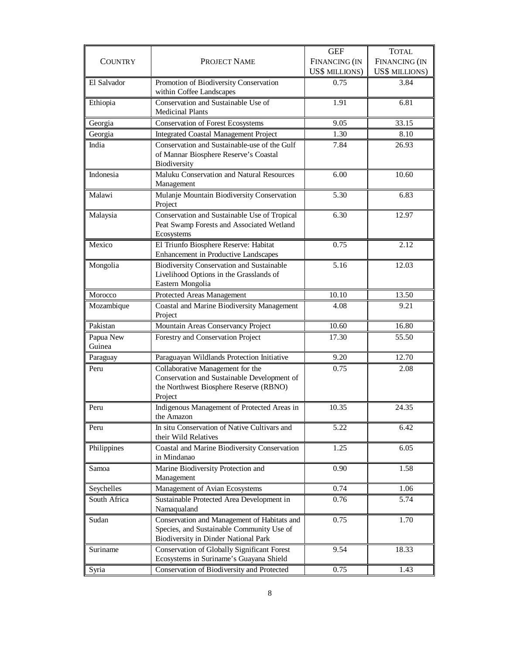|                     |                                                                                                                                      | <b>GEF</b>            | <b>TOTAL</b>          |
|---------------------|--------------------------------------------------------------------------------------------------------------------------------------|-----------------------|-----------------------|
| <b>COUNTRY</b>      | PROJECT NAME                                                                                                                         | FINANCING (IN         | FINANCING (IN         |
|                     |                                                                                                                                      | <b>US\$ MILLIONS)</b> | <b>US\$ MILLIONS)</b> |
| El Salvador         | Promotion of Biodiversity Conservation<br>within Coffee Landscapes                                                                   | 0.75                  | 3.84                  |
| Ethiopia            | Conservation and Sustainable Use of<br><b>Medicinal Plants</b>                                                                       | 1.91                  | 6.81                  |
| Georgia             | <b>Conservation of Forest Ecosystems</b>                                                                                             | 9.05                  | 33.15                 |
| Georgia             | <b>Integrated Coastal Management Project</b>                                                                                         | 1.30                  | 8.10                  |
| India               | Conservation and Sustainable-use of the Gulf<br>of Mannar Biosphere Reserve's Coastal<br>Biodiversity                                | 7.84                  | 26.93                 |
| Indonesia           | Maluku Conservation and Natural Resources<br>Management                                                                              | 6.00                  | 10.60                 |
| Malawi              | Mulanje Mountain Biodiversity Conservation<br>Project                                                                                | 5.30                  | 6.83                  |
| Malaysia            | Conservation and Sustainable Use of Tropical<br>Peat Swamp Forests and Associated Wetland<br>Ecosystems                              | 6.30                  | 12.97                 |
| Mexico              | El Triunfo Biosphere Reserve: Habitat<br>Enhancement in Productive Landscapes                                                        | 0.75                  | 2.12                  |
| Mongolia            | <b>Biodiversity Conservation and Sustainable</b><br>Livelihood Options in the Grasslands of<br>Eastern Mongolia                      | 5.16                  | 12.03                 |
| Morocco             | Protected Areas Management                                                                                                           | 10.10                 | 13.50                 |
| Mozambique          | Coastal and Marine Biodiversity Management<br>Project                                                                                | 4.08                  | 9.21                  |
| Pakistan            | Mountain Areas Conservancy Project                                                                                                   | 10.60                 | 16.80                 |
| Papua New<br>Guinea | Forestry and Conservation Project                                                                                                    | 17.30                 | 55.50                 |
| Paraguay            | Paraguayan Wildlands Protection Initiative                                                                                           | 9.20                  | 12.70                 |
| Peru                | Collaborative Management for the<br>Conservation and Sustainable Development of<br>the Northwest Biosphere Reserve (RBNO)<br>Project | 0.75                  | 2.08                  |
| Peru                | Indigenous Management of Protected Areas in<br>the Amazon                                                                            | 10.35                 | 24.35                 |
| Peru                | In situ Conservation of Native Cultivars and<br>their Wild Relatives                                                                 | 5.22                  | 6.42                  |
| Philippines         | Coastal and Marine Biodiversity Conservation<br>in Mindanao                                                                          | 1.25                  | 6.05                  |
| Samoa               | Marine Biodiversity Protection and<br>Management                                                                                     | 0.90                  | 1.58                  |
| Seychelles          | Management of Avian Ecosystems                                                                                                       | 0.74                  | 1.06                  |
| South Africa        | Sustainable Protected Area Development in<br>Namaqualand                                                                             | 0.76                  | 5.74                  |
| Sudan               | Conservation and Management of Habitats and<br>Species, and Sustainable Community Use of<br>Biodiversity in Dinder National Park     | 0.75                  | 1.70                  |
| Suriname            | Conservation of Globally Significant Forest<br>Ecosystems in Suriname's Guayana Shield                                               | 9.54                  | 18.33                 |
| Syria               | Conservation of Biodiversity and Protected                                                                                           | 0.75                  | 1.43                  |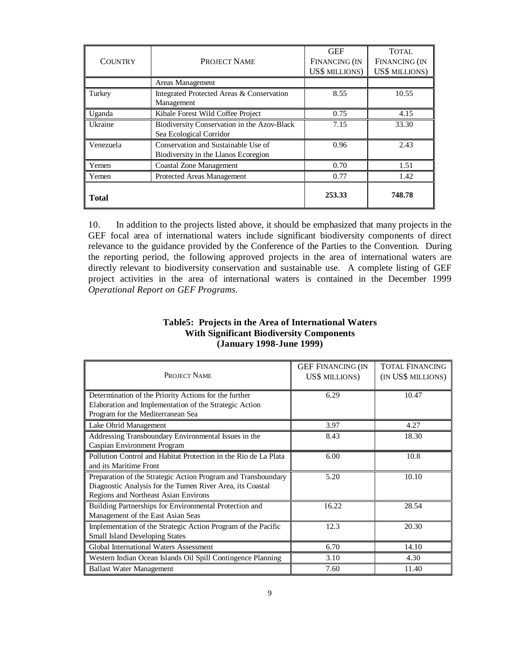|                |                                             | <b>GEF</b>            | <b>TOTAL</b>          |
|----------------|---------------------------------------------|-----------------------|-----------------------|
| <b>COUNTRY</b> | PROJECT NAME                                | <b>FINANCING (IN</b>  | FINANCING (IN         |
|                |                                             | <b>US\$ MILLIONS)</b> | <b>US\$ MILLIONS)</b> |
|                | Areas Management                            |                       |                       |
| Turkey         | Integrated Protected Areas & Conservation   | 8.55                  | 10.55                 |
|                | Management                                  |                       |                       |
| Uganda         | Kibale Forest Wild Coffee Project           | 0.75                  | 4.15                  |
| Ukraine        | Biodiversity Conservation in the Azov-Black | 7.15                  | 33.30                 |
|                | Sea Ecological Corridor                     |                       |                       |
| Venezuela      | Conservation and Sustainable Use of         | 0.96                  | 2.43                  |
|                | Biodiversity in the Llanos Ecoregion        |                       |                       |
| Yemen          | <b>Coastal Zone Management</b>              | 0.70                  | 1.51                  |
| Yemen          | Protected Areas Management                  | 0.77                  | 1.42                  |
|                |                                             |                       |                       |
| <b>Total</b>   |                                             | 253.33                | 748.78                |

10. In addition to the projects listed above, it should be emphasized that many projects in the GEF focal area of international waters include significant biodiversity components of direct relevance to the guidance provided by the Conference of the Parties to the Convention. During the reporting period, the following approved projects in the area of international waters are directly relevant to biodiversity conservation and sustainable use. A complete listing of GEF project activities in the area of international waters is contained in the December 1999 *Operational Report on GEF Programs*.

## **Table5: Projects in the Area of International Waters With Significant Biodiversity Components (January 1998-June 1999)**

| PROJECT NAME                                                                                                                                                       | <b>GEF FINANCING (IN</b><br>US\$ MILLIONS) | TOTAL FINANCING<br>(IN US\$ MILLIONS) |
|--------------------------------------------------------------------------------------------------------------------------------------------------------------------|--------------------------------------------|---------------------------------------|
| Determination of the Priority Actions for the further<br>Elaboration and Implementation of the Strategic Action<br>Program for the Mediterranean Sea               | 6.29                                       | 10.47                                 |
| Lake Ohrid Management                                                                                                                                              | 3.97                                       | 4.27                                  |
| Addressing Transboundary Environmental Issues in the<br>Caspian Environment Program                                                                                | 8.43                                       | 18.30                                 |
| Pollution Control and Habitat Protection in the Rio de La Plata<br>and its Maritime Front                                                                          | 6.00                                       | 10.8                                  |
| Preparation of the Strategic Action Program and Transboundary<br>Diagnostic Analysis for the Tumen River Area, its Coastal<br>Regions and Northeast Asian Environs | 5.20                                       | 10.10                                 |
| Building Partnerships for Environmental Protection and<br>Management of the East Asian Seas                                                                        | 16.22                                      | 28.54                                 |
| Implementation of the Strategic Action Program of the Pacific<br><b>Small Island Developing States</b>                                                             | 12.3                                       | 20.30                                 |
| Global International Waters Assessment                                                                                                                             | 6.70                                       | 14.10                                 |
| Western Indian Ocean Islands Oil Spill Contingence Planning                                                                                                        | 3.10                                       | 4.30                                  |
| <b>Ballast Water Management</b>                                                                                                                                    | 7.60                                       | 11.40                                 |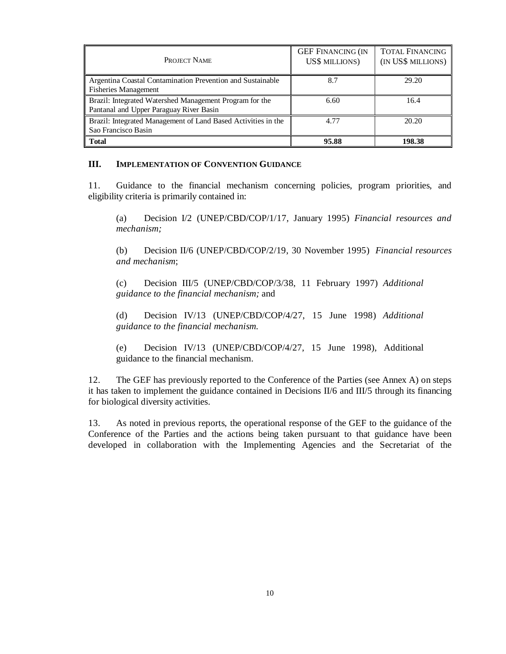| PROJECT NAME                                                                                       | <b>GEF FINANCING (IN</b><br><b>US\$ MILLIONS)</b> | <b>TOTAL FINANCING</b><br>(IN US\$ MILLIONS) |
|----------------------------------------------------------------------------------------------------|---------------------------------------------------|----------------------------------------------|
| Argentina Coastal Contamination Prevention and Sustainable<br><b>Fisheries Management</b>          | 8.7                                               | 29.20                                        |
| Brazil: Integrated Watershed Management Program for the<br>Pantanal and Upper Paraguay River Basin | 6.60                                              | 16.4                                         |
| Brazil: Integrated Management of Land Based Activities in the<br>Sao Francisco Basin               | 4.77                                              | 20.20                                        |
| <b>Total</b>                                                                                       | 95.88                                             | 198.38                                       |

### **III. IMPLEMENTATION OF CONVENTION GUIDANCE**

11. Guidance to the financial mechanism concerning policies, program priorities, and eligibility criteria is primarily contained in:

(a) Decision I/2 (UNEP/CBD/COP/1/17, January 1995) *Financial resources and mechanism;*

(b) Decision II/6 (UNEP/CBD/COP/2/19, 30 November 1995) *Financial resources and mechanism*;

(c) Decision III/5 (UNEP/CBD/COP/3/38, 11 February 1997) *Additional guidance to the financial mechanism;* and

(d) Decision IV/13 (UNEP/CBD/COP/4/27, 15 June 1998) *Additional guidance to the financial mechanism.*

(e) Decision IV/13 (UNEP/CBD/COP/4/27, 15 June 1998), Additional guidance to the financial mechanism.

12. The GEF has previously reported to the Conference of the Parties (see Annex A) on steps it has taken to implement the guidance contained in Decisions II/6 and III/5 through its financing for biological diversity activities.

13. As noted in previous reports, the operational response of the GEF to the guidance of the Conference of the Parties and the actions being taken pursuant to that guidance have been developed in collaboration with the Implementing Agencies and the Secretariat of the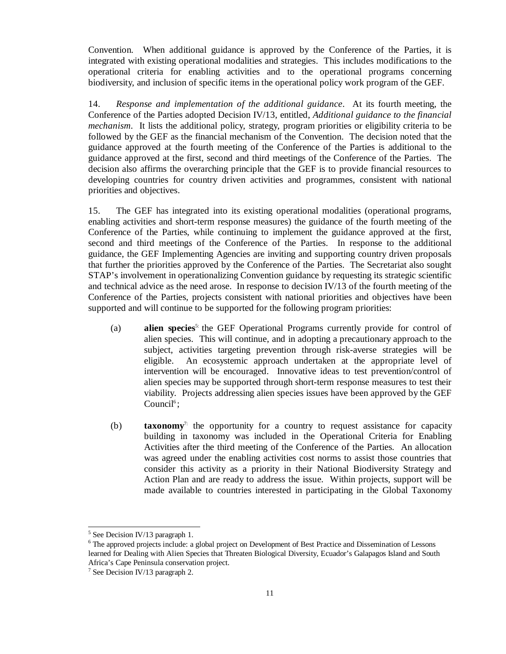Convention. When additional guidance is approved by the Conference of the Parties, it is integrated with existing operational modalities and strategies. This includes modifications to the operational criteria for enabling activities and to the operational programs concerning biodiversity, and inclusion of specific items in the operational policy work program of the GEF.

14. *Response and implementation of the additional guidance*. At its fourth meeting, the Conference of the Parties adopted Decision IV/13, entitled, *Additional guidance to the financial mechanism*. It lists the additional policy, strategy, program priorities or eligibility criteria to be followed by the GEF as the financial mechanism of the Convention. The decision noted that the guidance approved at the fourth meeting of the Conference of the Parties is additional to the guidance approved at the first, second and third meetings of the Conference of the Parties. The decision also affirms the overarching principle that the GEF is to provide financial resources to developing countries for country driven activities and programmes, consistent with national priorities and objectives.

15. The GEF has integrated into its existing operational modalities (operational programs, enabling activities and short-term response measures) the guidance of the fourth meeting of the Conference of the Parties, while continuing to implement the guidance approved at the first, second and third meetings of the Conference of the Parties. In response to the additional guidance, the GEF Implementing Agencies are inviting and supporting country driven proposals that further the priorities approved by the Conference of the Parties. The Secretariat also sought STAP's involvement in operationalizing Convention guidance by requesting its strategic scientific and technical advice as the need arose. In response to decision IV/13 of the fourth meeting of the Conference of the Parties, projects consistent with national priorities and objectives have been supported and will continue to be supported for the following program priorities:

- (a) **alien species**5: the GEF Operational Programs currently provide for control of alien species. This will continue, and in adopting a precautionary approach to the subject, activities targeting prevention through risk-averse strategies will be eligible. An ecosystemic approach undertaken at the appropriate level of intervention will be encouraged. Innovative ideas to test prevention/control of alien species may be supported through short-term response measures to test their viability. Projects addressing alien species issues have been approved by the GEF Council<sup>6</sup>;
- (b) **taxonomy**7: the opportunity for a country to request assistance for capacity building in taxonomy was included in the Operational Criteria for Enabling Activities after the third meeting of the Conference of the Parties. An allocation was agreed under the enabling activities cost norms to assist those countries that consider this activity as a priority in their National Biodiversity Strategy and Action Plan and are ready to address the issue. Within projects, support will be made available to countries interested in participating in the Global Taxonomy

<sup>5</sup> See Decision IV/13 paragraph 1.

<sup>6</sup> The approved projects include: a global project on Development of Best Practice and Dissemination of Lessons learned for Dealing with Alien Species that Threaten Biological Diversity, Ecuador's Galapagos Island and South Africa's Cape Peninsula conservation project.

<sup>&</sup>lt;sup>7</sup> See Decision IV/13 paragraph 2.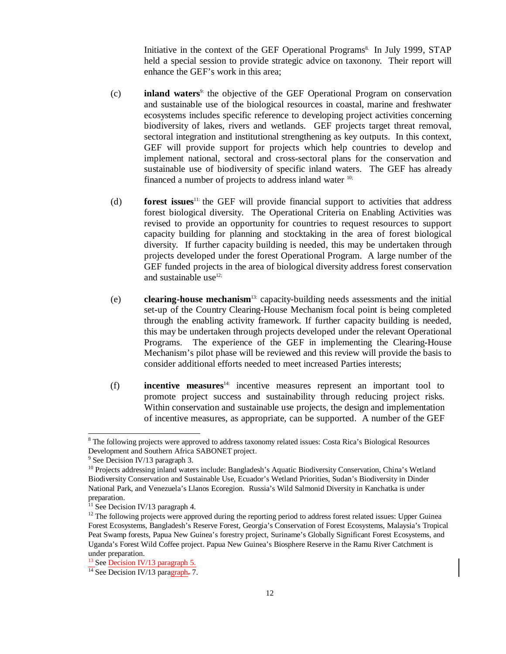Initiative in the context of the GEF Operational Programs<sup>8.</sup> In July 1999, STAP held a special session to provide strategic advice on taxonony. Their report will enhance the GEF's work in this area;

- (c) **inland waters**9: the objective of the GEF Operational Program on conservation and sustainable use of the biological resources in coastal, marine and freshwater ecosystems includes specific reference to developing project activities concerning biodiversity of lakes, rivers and wetlands. GEF projects target threat removal, sectoral integration and institutional strengthening as key outputs. In this context, GEF will provide support for projects which help countries to develop and implement national, sectoral and cross-sectoral plans for the conservation and sustainable use of biodiversity of specific inland waters. The GEF has already financed a number of projects to address inland water <sup>10;</sup>
- (d) **forest issues**11: the GEF will provide financial support to activities that address forest biological diversity. The Operational Criteria on Enabling Activities was revised to provide an opportunity for countries to request resources to support capacity building for planning and stocktaking in the area of forest biological diversity. If further capacity building is needed, this may be undertaken through projects developed under the forest Operational Program. A large number of the GEF funded projects in the area of biological diversity address forest conservation and sustainable use $12$ ;
- (e) **clearing-house mechanism**13: capacity-building needs assessments and the initial set-up of the Country Clearing-House Mechanism focal point is being completed through the enabling activity framework. If further capacity building is needed, this may be undertaken through projects developed under the relevant Operational Programs. The experience of the GEF in implementing the Clearing-House Mechanism's pilot phase will be reviewed and this review will provide the basis to consider additional efforts needed to meet increased Parties interests;
- (f) **incentive measures**14: incentive measures represent an important tool to promote project success and sustainability through reducing project risks. Within conservation and sustainable use projects, the design and implementation of incentive measures, as appropriate, can be supported. A number of the GEF

<sup>8</sup> The following projects were approved to address taxonomy related issues: Costa Rica's Biological Resources Development and Southern Africa SABONET project.

<sup>&</sup>lt;sup>9</sup> See Decision IV/13 paragraph 3.

<sup>&</sup>lt;sup>10</sup> Projects addressing inland waters include: Bangladesh's Aquatic Biodiversity Conservation, China's Wetland Biodiversity Conservation and Sustainable Use, Ecuador's Wetland Priorities, Sudan's Biodiversity in Dinder National Park, and Venezuela's Llanos Ecoregion. Russia's Wild Salmonid Diversity in Kanchatka is under preparation.

 $11$  See Decision IV/13 paragraph 4.

 $12$  The following projects were approved during the reporting period to address forest related issues: Upper Guinea Forest Ecosystems, Bangladesh's Reserve Forest, Georgia's Conservation of Forest Ecosystems, Malaysia's Tropical Peat Swamp forests, Papua New Guinea's forestry project, Suriname's Globally Significant Forest Ecosystems, and Uganda's Forest Wild Coffee project. Papua New Guinea's Biosphere Reserve in the Ramu River Catchment is under preparation.

 $\frac{13}{13}$  See Decision IV/13 paragraph 5.

 $\frac{14}{14}$  See Decision IV/13 paragraph. 7.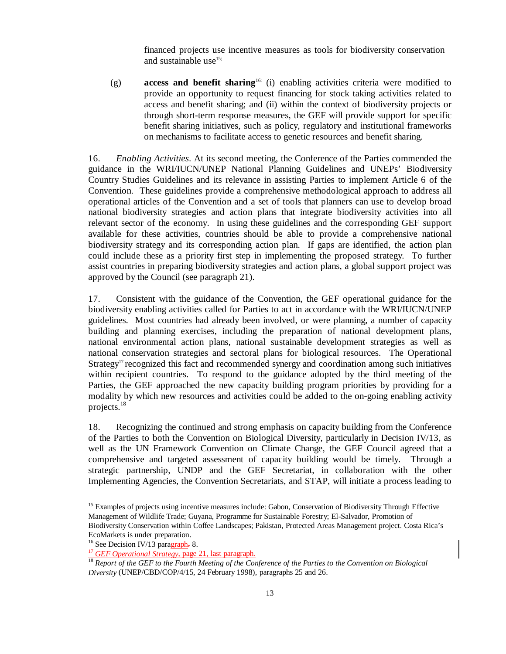financed projects use incentive measures as tools for biodiversity conservation and sustainable use $15$ ;

(g) **access and benefit sharing**16: (i) enabling activities criteria were modified to provide an opportunity to request financing for stock taking activities related to access and benefit sharing; and (ii) within the context of biodiversity projects or through short-term response measures, the GEF will provide support for specific benefit sharing initiatives, such as policy, regulatory and institutional frameworks on mechanisms to facilitate access to genetic resources and benefit sharing.

16. *Enabling Activities*. At its second meeting, the Conference of the Parties commended the guidance in the WRI/IUCN/UNEP National Planning Guidelines and UNEPs' Biodiversity Country Studies Guidelines and its relevance in assisting Parties to implement Article 6 of the Convention. These guidelines provide a comprehensive methodological approach to address all operational articles of the Convention and a set of tools that planners can use to develop broad national biodiversity strategies and action plans that integrate biodiversity activities into all relevant sector of the economy. In using these guidelines and the corresponding GEF support available for these activities, countries should be able to provide a comprehensive national biodiversity strategy and its corresponding action plan. If gaps are identified, the action plan could include these as a priority first step in implementing the proposed strategy. To further assist countries in preparing biodiversity strategies and action plans, a global support project was approved by the Council (see paragraph 21).

17. Consistent with the guidance of the Convention, the GEF operational guidance for the biodiversity enabling activities called for Parties to act in accordance with the WRI/IUCN/UNEP guidelines. Most countries had already been involved, or were planning, a number of capacity building and planning exercises, including the preparation of national development plans, national environmental action plans, national sustainable development strategies as well as national conservation strategies and sectoral plans for biological resources. The Operational Strategy<sup>17</sup> recognized this fact and recommended synergy and coordination among such initiatives within recipient countries. To respond to the guidance adopted by the third meeting of the Parties, the GEF approached the new capacity building program priorities by providing for a modality by which new resources and activities could be added to the on-going enabling activity projects.<sup>18</sup>

18. Recognizing the continued and strong emphasis on capacity building from the Conference of the Parties to both the Convention on Biological Diversity, particularly in Decision IV/13, as well as the UN Framework Convention on Climate Change, the GEF Council agreed that a comprehensive and targeted assessment of capacity building would be timely. Through a strategic partnership, UNDP and the GEF Secretariat, in collaboration with the other Implementing Agencies, the Convention Secretariats, and STAP, will initiate a process leading to

<sup>&</sup>lt;sup>15</sup> Examples of projects using incentive measures include: Gabon, Conservation of Biodiversity Through Effective Management of Wildlife Trade; Guyana, Programme for Sustainable Forestry; El-Salvador, Promotion of Biodiversity Conservation within Coffee Landscapes; Pakistan, Protected Areas Management project. Costa Rica's EcoMarkets is under preparation.

<sup>&</sup>lt;sup>16</sup> See Decision IV/13 paragraph. 8.

<sup>17</sup> *GEF Operational Strategy*, page 21, last paragraph.

<sup>&</sup>lt;sup>18</sup> Report of the GEF to the Fourth Meeting of the Conference of the Parties to the Convention on Biological *Diversity* (UNEP/CBD/COP/4/15, 24 February 1998), paragraphs 25 and 26.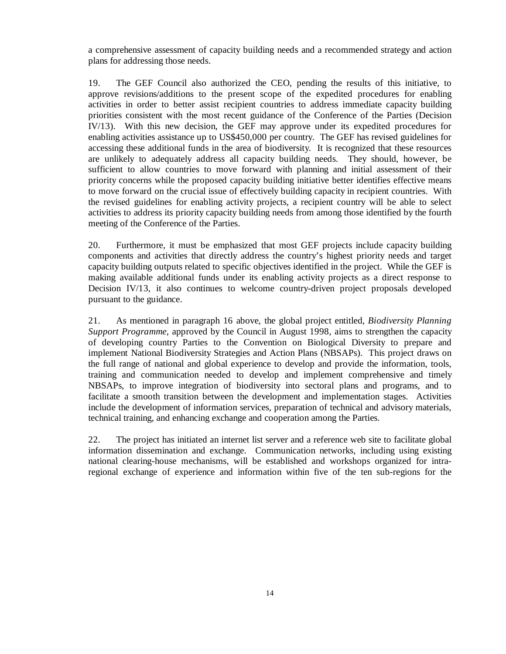a comprehensive assessment of capacity building needs and a recommended strategy and action plans for addressing those needs.

19. The GEF Council also authorized the CEO, pending the results of this initiative, to approve revisions/additions to the present scope of the expedited procedures for enabling activities in order to better assist recipient countries to address immediate capacity building priorities consistent with the most recent guidance of the Conference of the Parties (Decision IV/13). With this new decision, the GEF may approve under its expedited procedures for enabling activities assistance up to US\$450,000 per country. The GEF has revised guidelines for accessing these additional funds in the area of biodiversity. It is recognized that these resources are unlikely to adequately address all capacity building needs. They should, however, be sufficient to allow countries to move forward with planning and initial assessment of their priority concerns while the proposed capacity building initiative better identifies effective means to move forward on the crucial issue of effectively building capacity in recipient countries. With the revised guidelines for enabling activity projects, a recipient country will be able to select activities to address its priority capacity building needs from among those identified by the fourth meeting of the Conference of the Parties.

20. Furthermore, it must be emphasized that most GEF projects include capacity building components and activities that directly address the country's highest priority needs and target capacity building outputs related to specific objectives identified in the project. While the GEF is making available additional funds under its enabling activity projects as a direct response to Decision IV/13, it also continues to welcome country-driven project proposals developed pursuant to the guidance.

21. As mentioned in paragraph 16 above, the global project entitled, *Biodiversity Planning Support Programme*, approved by the Council in August 1998, aims to strengthen the capacity of developing country Parties to the Convention on Biological Diversity to prepare and implement National Biodiversity Strategies and Action Plans (NBSAPs). This project draws on the full range of national and global experience to develop and provide the information, tools, training and communication needed to develop and implement comprehensive and timely NBSAPs, to improve integration of biodiversity into sectoral plans and programs, and to facilitate a smooth transition between the development and implementation stages. Activities include the development of information services, preparation of technical and advisory materials, technical training, and enhancing exchange and cooperation among the Parties.

22. The project has initiated an internet list server and a reference web site to facilitate global information dissemination and exchange. Communication networks, including using existing national clearing-house mechanisms, will be established and workshops organized for intraregional exchange of experience and information within five of the ten sub-regions for the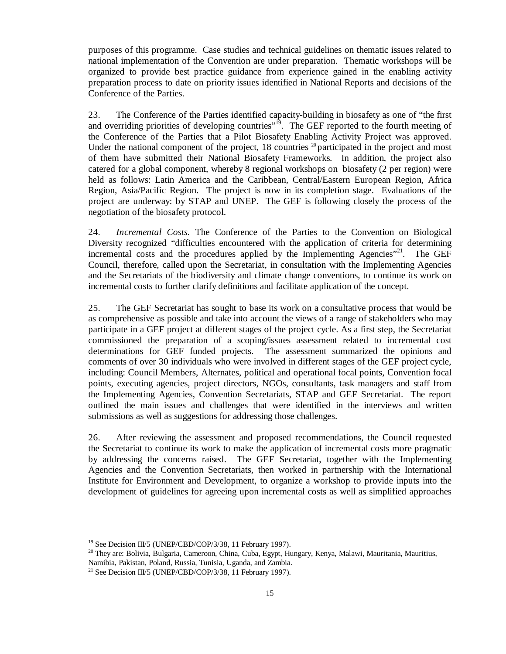purposes of this programme. Case studies and technical guidelines on thematic issues related to national implementation of the Convention are under preparation. Thematic workshops will be organized to provide best practice guidance from experience gained in the enabling activity preparation process to date on priority issues identified in National Reports and decisions of the Conference of the Parties.

23. The Conference of the Parties identified capacity-building in biosafety as one of "the first and overriding priorities of developing countries"<sup>19</sup>. The GEF reported to the fourth meeting of the Conference of the Parties that a Pilot Biosafety Enabling Activity Project was approved. Under the national component of the project, 18 countries  $20$  participated in the project and most of them have submitted their National Biosafety Frameworks. In addition, the project also catered for a global component, whereby 8 regional workshops on biosafety (2 per region) were held as follows: Latin America and the Caribbean, Central/Eastern European Region, Africa Region, Asia/Pacific Region. The project is now in its completion stage. Evaluations of the project are underway: by STAP and UNEP. The GEF is following closely the process of the negotiation of the biosafety protocol.

24. *Incremental Costs.* The Conference of the Parties to the Convention on Biological Diversity recognized "difficulties encountered with the application of criteria for determining incremental costs and the procedures applied by the Implementing Agencies"<sup>21</sup>. The GEF Council, therefore, called upon the Secretariat, in consultation with the Implementing Agencies and the Secretariats of the biodiversity and climate change conventions, to continue its work on incremental costs to further clarify definitions and facilitate application of the concept.

25. The GEF Secretariat has sought to base its work on a consultative process that would be as comprehensive as possible and take into account the views of a range of stakeholders who may participate in a GEF project at different stages of the project cycle. As a first step, the Secretariat commissioned the preparation of a scoping/issues assessment related to incremental cost determinations for GEF funded projects. The assessment summarized the opinions and comments of over 30 individuals who were involved in different stages of the GEF project cycle, including: Council Members, Alternates, political and operational focal points, Convention focal points, executing agencies, project directors, NGOs, consultants, task managers and staff from the Implementing Agencies, Convention Secretariats, STAP and GEF Secretariat. The report outlined the main issues and challenges that were identified in the interviews and written submissions as well as suggestions for addressing those challenges.

26. After reviewing the assessment and proposed recommendations, the Council requested the Secretariat to continue its work to make the application of incremental costs more pragmatic by addressing the concerns raised. The GEF Secretariat, together with the Implementing Agencies and the Convention Secretariats, then worked in partnership with the International Institute for Environment and Development, to organize a workshop to provide inputs into the development of guidelines for agreeing upon incremental costs as well as simplified approaches

<sup>&</sup>lt;sup>19</sup> See Decision III/5 (UNEP/CBD/COP/3/38, 11 February 1997).

<sup>&</sup>lt;sup>20</sup> They are: Bolivia, Bulgaria, Cameroon, China, Cuba, Egypt, Hungary, Kenya, Malawi, Mauritania, Mauritius, Namibia, Pakistan, Poland, Russia, Tunisia, Uganda, and Zambia.

<sup>&</sup>lt;sup>21</sup> See Decision III/5 (UNEP/CBD/COP/3/38, 11 February 1997).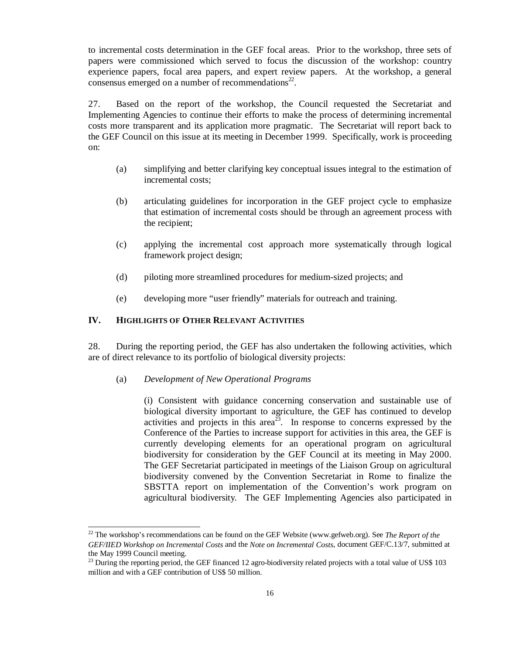to incremental costs determination in the GEF focal areas. Prior to the workshop, three sets of papers were commissioned which served to focus the discussion of the workshop: country experience papers, focal area papers, and expert review papers. At the workshop, a general consensus emerged on a number of recommendations $^{22}$ .

27. Based on the report of the workshop, the Council requested the Secretariat and Implementing Agencies to continue their efforts to make the process of determining incremental costs more transparent and its application more pragmatic. The Secretariat will report back to the GEF Council on this issue at its meeting in December 1999. Specifically, work is proceeding on:

- (a) simplifying and better clarifying key conceptual issues integral to the estimation of incremental costs;
- (b) articulating guidelines for incorporation in the GEF project cycle to emphasize that estimation of incremental costs should be through an agreement process with the recipient;
- (c) applying the incremental cost approach more systematically through logical framework project design;
- (d) piloting more streamlined procedures for medium-sized projects; and
- (e) developing more "user friendly" materials for outreach and training.

## **IV. HIGHLIGHTS OF OTHER RELEVANT ACTIVITIES**

28. During the reporting period, the GEF has also undertaken the following activities, which are of direct relevance to its portfolio of biological diversity projects:

(a) *Development of New Operational Programs*

(i) Consistent with guidance concerning conservation and sustainable use of biological diversity important to agriculture, the GEF has continued to develop activities and projects in this area<sup>23</sup>. In response to concerns expressed by the Conference of the Parties to increase support for activities in this area, the GEF is currently developing elements for an operational program on agricultural biodiversity for consideration by the GEF Council at its meeting in May 2000. The GEF Secretariat participated in meetings of the Liaison Group on agricultural biodiversity convened by the Convention Secretariat in Rome to finalize the SBSTTA report on implementation of the Convention's work program on agricultural biodiversity. The GEF Implementing Agencies also participated in

<sup>&</sup>lt;sup>22</sup> The workshop's recommendations can be found on the GEF Website (www.gefweb.org). See *The Report of the GEF/IIED Workshop on Incremental Costs* and the *Note on Incremental Costs*, document GEF/C.13/7, submitted at the May 1999 Council meeting.

 $^{23}$  During the reporting period, the GEF financed 12 agro-biodiversity related projects with a total value of US\$ 103 million and with a GEF contribution of US\$ 50 million.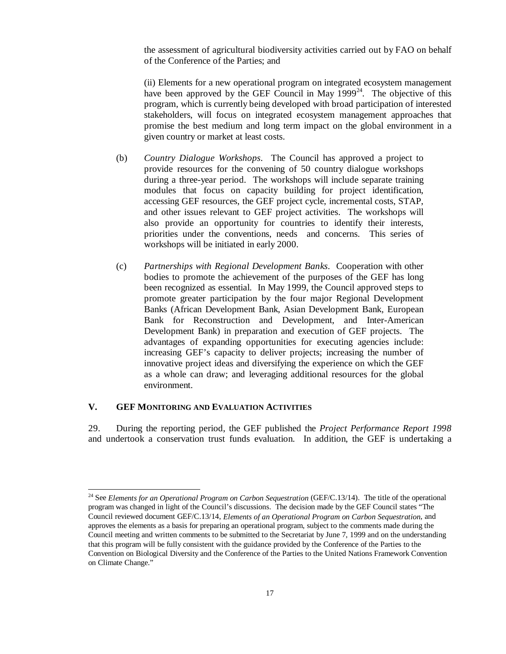the assessment of agricultural biodiversity activities carried out by FAO on behalf of the Conference of the Parties; and

(ii) Elements for a new operational program on integrated ecosystem management have been approved by the GEF Council in May  $1999^{24}$ . The objective of this program, which is currently being developed with broad participation of interested stakeholders, will focus on integrated ecosystem management approaches that promise the best medium and long term impact on the global environment in a given country or market at least costs.

- (b) *Country Dialogue Workshops*. The Council has approved a project to provide resources for the convening of 50 country dialogue workshops during a three-year period. The workshops will include separate training modules that focus on capacity building for project identification, accessing GEF resources, the GEF project cycle, incremental costs, STAP, and other issues relevant to GEF project activities. The workshops will also provide an opportunity for countries to identify their interests, priorities under the conventions, needs and concerns. This series of workshops will be initiated in early 2000.
- (c) *Partnerships with Regional Development Banks*. Cooperation with other bodies to promote the achievement of the purposes of the GEF has long been recognized as essential. In May 1999, the Council approved steps to promote greater participation by the four major Regional Development Banks (African Development Bank, Asian Development Bank, European Bank for Reconstruction and Development, and Inter-American Development Bank) in preparation and execution of GEF projects. The advantages of expanding opportunities for executing agencies include: increasing GEF's capacity to deliver projects; increasing the number of innovative project ideas and diversifying the experience on which the GEF as a whole can draw; and leveraging additional resources for the global environment.

#### **V. GEF MONITORING AND EVALUATION ACTIVITIES**

29. During the reporting period, the GEF published the *Project Performance Report 1998* and undertook a conservation trust funds evaluation. In addition, the GEF is undertaking a

<sup>&</sup>lt;sup>24</sup> See *Elements for an Operational Program on Carbon Sequestration* (GEF/C.13/14). The title of the operational program was changed in light of the Council's discussions. The decision made by the GEF Council states "The Council reviewed document GEF/C.13/14, *Elements of an Operational Program on Carbon Sequestration*, and approves the elements as a basis for preparing an operational program, subject to the comments made during the Council meeting and written comments to be submitted to the Secretariat by June 7, 1999 and on the understanding that this program will be fully consistent with the guidance provided by the Conference of the Parties to the Convention on Biological Diversity and the Conference of the Parties to the United Nations Framework Convention on Climate Change."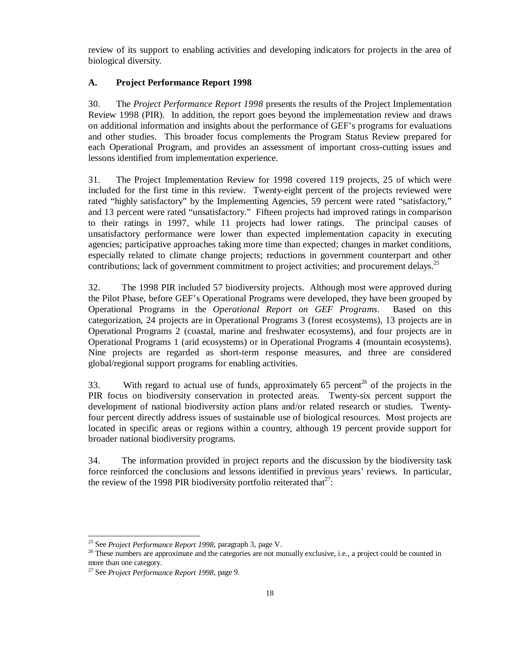review of its support to enabling activities and developing indicators for projects in the area of biological diversity.

## **A. Project Performance Report 1998**

30. The *Project Performance Report 1998* presents the results of the Project Implementation Review 1998 (PIR). In addition, the report goes beyond the implementation review and draws on additional information and insights about the performance of GEF's programs for evaluations and other studies. This broader focus complements the Program Status Review prepared for each Operational Program, and provides an assessment of important cross-cutting issues and lessons identified from implementation experience.

31. The Project Implementation Review for 1998 covered 119 projects, 25 of which were included for the first time in this review. Twenty-eight percent of the projects reviewed were rated "highly satisfactory" by the Implementing Agencies, 59 percent were rated "satisfactory," and 13 percent were rated "unsatisfactory." Fifteen projects had improved ratings in comparison to their ratings in 1997, while 11 projects had lower ratings. The principal causes of unsatisfactory performance were lower than expected implementation capacity in executing agencies; participative approaches taking more time than expected; changes in market conditions, especially related to climate change projects; reductions in government counterpart and other contributions; lack of government commitment to project activities; and procurement delays.<sup>25</sup>

32. The 1998 PIR included 57 biodiversity projects. Although most were approved during the Pilot Phase, before GEF's Operational Programs were developed, they have been grouped by Operational Programs in the *Operational Report on GEF Programs*. Based on this categorization, 24 projects are in Operational Programs 3 (forest ecosystems), 13 projects are in Operational Programs 2 (coastal, marine and freshwater ecosystems), and four projects are in Operational Programs 1 (arid ecosystems) or in Operational Programs 4 (mountain ecosystems). Nine projects are regarded as short-term response measures, and three are considered global/regional support programs for enabling activities.

33. With regard to actual use of funds, approximately 65 percent<sup>26</sup> of the projects in the PIR focus on biodiversity conservation in protected areas. Twenty-six percent support the development of national biodiversity action plans and/or related research or studies. Twentyfour percent directly address issues of sustainable use of biological resources. Most projects are located in specific areas or regions within a country, although 19 percent provide support for broader national biodiversity programs.

34. The information provided in project reports and the discussion by the biodiversity task force reinforced the conclusions and lessons identified in previous years' reviews. In particular, the review of the 1998 PIR biodiversity portfolio reiterated that<sup>27</sup>:

<sup>25</sup> See *Project Performance Report 1998*, paragraph 3, page V.

<sup>&</sup>lt;sup>26</sup> These numbers are approximate and the categories are not mutually exclusive, i.e., a project could be counted in more than one category.

<sup>27</sup> See *Project Performance Report 1998*, page 9.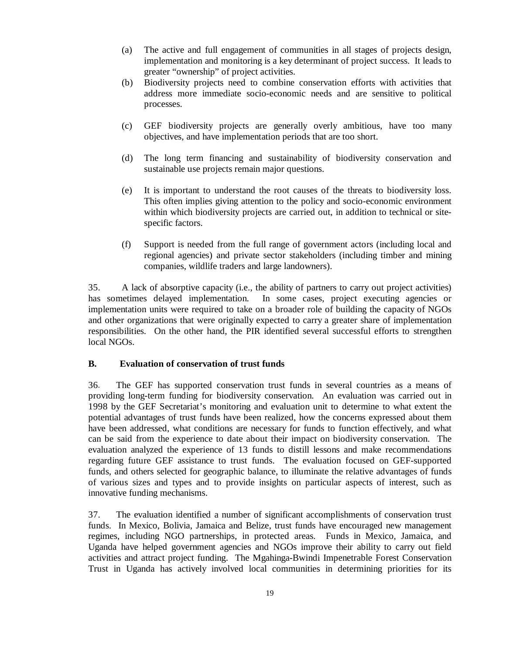- (a) The active and full engagement of communities in all stages of projects design, implementation and monitoring is a key determinant of project success. It leads to greater "ownership" of project activities.
- (b) Biodiversity projects need to combine conservation efforts with activities that address more immediate socio-economic needs and are sensitive to political processes.
- (c) GEF biodiversity projects are generally overly ambitious, have too many objectives, and have implementation periods that are too short.
- (d) The long term financing and sustainability of biodiversity conservation and sustainable use projects remain major questions.
- (e) It is important to understand the root causes of the threats to biodiversity loss. This often implies giving attention to the policy and socio-economic environment within which biodiversity projects are carried out, in addition to technical or sitespecific factors.
- (f) Support is needed from the full range of government actors (including local and regional agencies) and private sector stakeholders (including timber and mining companies, wildlife traders and large landowners).

35. A lack of absorptive capacity (i.e., the ability of partners to carry out project activities) has sometimes delayed implementation. In some cases, project executing agencies or implementation units were required to take on a broader role of building the capacity of NGOs and other organizations that were originally expected to carry a greater share of implementation responsibilities. On the other hand, the PIR identified several successful efforts to strengthen local NGOs.

## **B. Evaluation of conservation of trust funds**

36. The GEF has supported conservation trust funds in several countries as a means of providing long-term funding for biodiversity conservation. An evaluation was carried out in 1998 by the GEF Secretariat's monitoring and evaluation unit to determine to what extent the potential advantages of trust funds have been realized, how the concerns expressed about them have been addressed, what conditions are necessary for funds to function effectively, and what can be said from the experience to date about their impact on biodiversity conservation. The evaluation analyzed the experience of 13 funds to distill lessons and make recommendations regarding future GEF assistance to trust funds. The evaluation focused on GEF-supported funds, and others selected for geographic balance, to illuminate the relative advantages of funds of various sizes and types and to provide insights on particular aspects of interest, such as innovative funding mechanisms.

37. The evaluation identified a number of significant accomplishments of conservation trust funds. In Mexico, Bolivia, Jamaica and Belize, trust funds have encouraged new management regimes, including NGO partnerships, in protected areas. Funds in Mexico, Jamaica, and Uganda have helped government agencies and NGOs improve their ability to carry out field activities and attract project funding. The Mgahinga-Bwindi Impenetrable Forest Conservation Trust in Uganda has actively involved local communities in determining priorities for its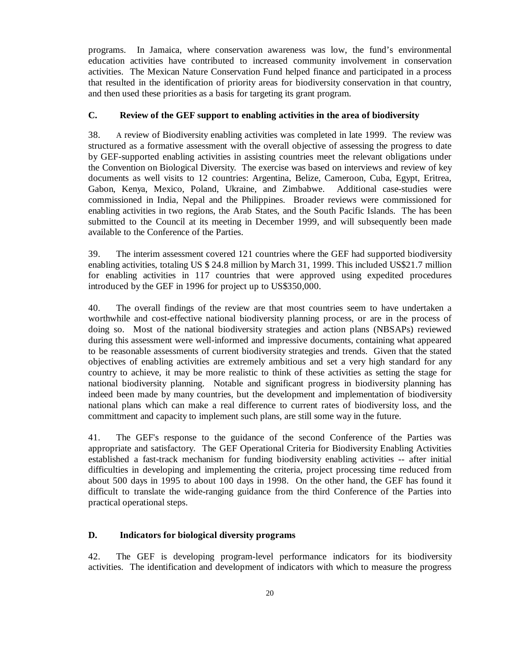programs. In Jamaica, where conservation awareness was low, the fund's environmental education activities have contributed to increased community involvement in conservation activities. The Mexican Nature Conservation Fund helped finance and participated in a process that resulted in the identification of priority areas for biodiversity conservation in that country, and then used these priorities as a basis for targeting its grant program.

### **C. Review of the GEF support to enabling activities in the area of biodiversity**

38. A review of Biodiversity enabling activities was completed in late 1999. The review was structured as a formative assessment with the overall objective of assessing the progress to date by GEF-supported enabling activities in assisting countries meet the relevant obligations under the Convention on Biological Diversity. The exercise was based on interviews and review of key documents as well visits to 12 countries: Argentina, Belize, Cameroon, Cuba, Egypt, Eritrea, Gabon, Kenya, Mexico, Poland, Ukraine, and Zimbabwe. Additional case-studies were commissioned in India, Nepal and the Philippines. Broader reviews were commissioned for enabling activities in two regions, the Arab States, and the South Pacific Islands. The has been submitted to the Council at its meeting in December 1999, and will subsequently been made available to the Conference of the Parties.

39. The interim assessment covered 121 countries where the GEF had supported biodiversity enabling activities, totaling US \$ 24.8 million by March 31, 1999. This included US\$21.7 million for enabling activities in 117 countries that were approved using expedited procedures introduced by the GEF in 1996 for project up to US\$350,000.

40. The overall findings of the review are that most countries seem to have undertaken a worthwhile and cost-effective national biodiversity planning process, or are in the process of doing so. Most of the national biodiversity strategies and action plans (NBSAPs) reviewed during this assessment were well-informed and impressive documents, containing what appeared to be reasonable assessments of current biodiversity strategies and trends. Given that the stated objectives of enabling activities are extremely ambitious and set a very high standard for any country to achieve, it may be more realistic to think of these activities as setting the stage for national biodiversity planning. Notable and significant progress in biodiversity planning has indeed been made by many countries, but the development and implementation of biodiversity national plans which can make a real difference to current rates of biodiversity loss, and the committment and capacity to implement such plans, are still some way in the future.

41. The GEF's response to the guidance of the second Conference of the Parties was appropriate and satisfactory. The GEF Operational Criteria for Biodiversity Enabling Activities established a fast-track mechanism for funding biodiversity enabling activities -- after initial difficulties in developing and implementing the criteria, project processing time reduced from about 500 days in 1995 to about 100 days in 1998. On the other hand, the GEF has found it difficult to translate the wide-ranging guidance from the third Conference of the Parties into practical operational steps.

## **D. Indicators for biological diversity programs**

42. The GEF is developing program-level performance indicators for its biodiversity activities. The identification and development of indicators with which to measure the progress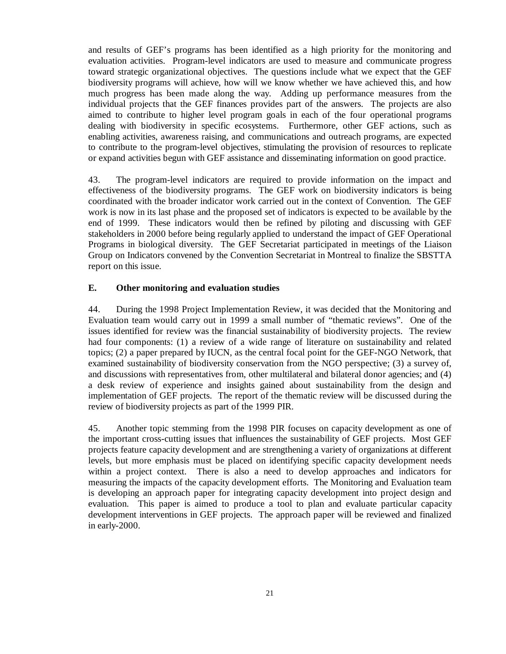and results of GEF's programs has been identified as a high priority for the monitoring and evaluation activities. Program-level indicators are used to measure and communicate progress toward strategic organizational objectives. The questions include what we expect that the GEF biodiversity programs will achieve, how will we know whether we have achieved this, and how much progress has been made along the way. Adding up performance measures from the individual projects that the GEF finances provides part of the answers. The projects are also aimed to contribute to higher level program goals in each of the four operational programs dealing with biodiversity in specific ecosystems. Furthermore, other GEF actions, such as enabling activities, awareness raising, and communications and outreach programs, are expected to contribute to the program-level objectives, stimulating the provision of resources to replicate or expand activities begun with GEF assistance and disseminating information on good practice.

43. The program-level indicators are required to provide information on the impact and effectiveness of the biodiversity programs. The GEF work on biodiversity indicators is being coordinated with the broader indicator work carried out in the context of Convention. The GEF work is now in its last phase and the proposed set of indicators is expected to be available by the end of 1999. These indicators would then be refined by piloting and discussing with GEF stakeholders in 2000 before being regularly applied to understand the impact of GEF Operational Programs in biological diversity. The GEF Secretariat participated in meetings of the Liaison Group on Indicators convened by the Convention Secretariat in Montreal to finalize the SBSTTA report on this issue.

#### **E. Other monitoring and evaluation studies**

44. During the 1998 Project Implementation Review, it was decided that the Monitoring and Evaluation team would carry out in 1999 a small number of "thematic reviews". One of the issues identified for review was the financial sustainability of biodiversity projects. The review had four components: (1) a review of a wide range of literature on sustainability and related topics; (2) a paper prepared by IUCN, as the central focal point for the GEF-NGO Network, that examined sustainability of biodiversity conservation from the NGO perspective; (3) a survey of, and discussions with representatives from, other multilateral and bilateral donor agencies; and (4) a desk review of experience and insights gained about sustainability from the design and implementation of GEF projects. The report of the thematic review will be discussed during the review of biodiversity projects as part of the 1999 PIR.

45. Another topic stemming from the 1998 PIR focuses on capacity development as one of the important cross-cutting issues that influences the sustainability of GEF projects. Most GEF projects feature capacity development and are strengthening a variety of organizations at different levels, but more emphasis must be placed on identifying specific capacity development needs within a project context. There is also a need to develop approaches and indicators for measuring the impacts of the capacity development efforts. The Monitoring and Evaluation team is developing an approach paper for integrating capacity development into project design and evaluation. This paper is aimed to produce a tool to plan and evaluate particular capacity development interventions in GEF projects. The approach paper will be reviewed and finalized in early-2000.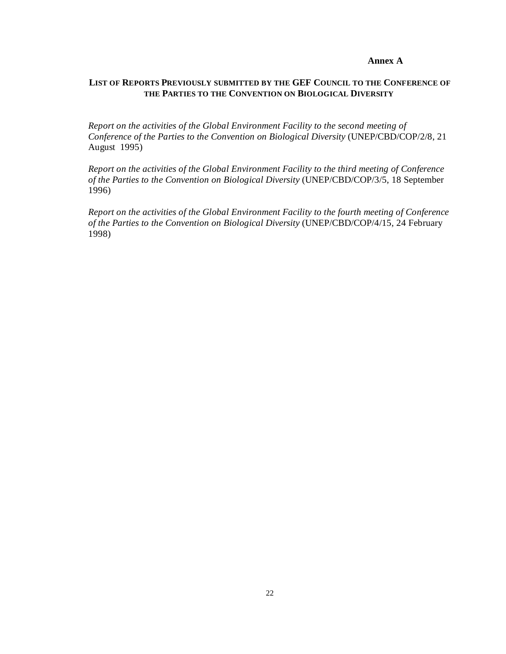#### **Annex A**

## **LIST OF REPORTS PREVIOUSLY SUBMITTED BY THE GEF COUNCIL TO THE CONFERENCE OF THE PARTIES TO THE CONVENTION ON BIOLOGICAL DIVERSITY**

*Report on the activities of the Global Environment Facility to the second meeting of Conference of the Parties to the Convention on Biological Diversity* (UNEP/CBD/COP/2/8, 21 August 1995)

*Report on the activities of the Global Environment Facility to the third meeting of Conference of the Parties to the Convention on Biological Diversity* (UNEP/CBD/COP/3/5, 18 September 1996)

*Report on the activities of the Global Environment Facility to the fourth meeting of Conference of the Parties to the Convention on Biological Diversity* (UNEP/CBD/COP/4/15, 24 February 1998)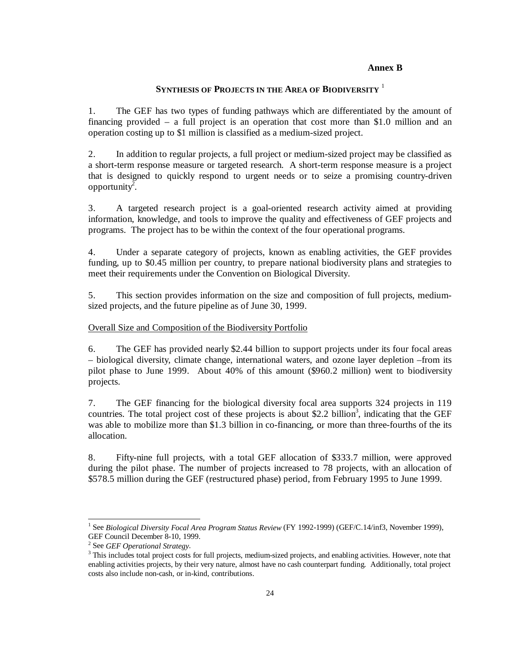## **Annex B**

## **SYNTHESIS OF PROJECTS IN THE AREA OF BIODIVERSITY** <sup>1</sup>

1. The GEF has two types of funding pathways which are differentiated by the amount of financing provided – a full project is an operation that cost more than \$1.0 million and an operation costing up to \$1 million is classified as a medium-sized project.

2. In addition to regular projects, a full project or medium-sized project may be classified as a short-term response measure or targeted research. A short-term response measure is a project that is designed to quickly respond to urgent needs or to seize a promising country-driven opportunity<sup>2</sup>.

3. A targeted research project is a goal-oriented research activity aimed at providing information, knowledge, and tools to improve the quality and effectiveness of GEF projects and programs. The project has to be within the context of the four operational programs.

4. Under a separate category of projects, known as enabling activities, the GEF provides funding, up to \$0.45 million per country, to prepare national biodiversity plans and strategies to meet their requirements under the Convention on Biological Diversity.

5. This section provides information on the size and composition of full projects, mediumsized projects, and the future pipeline as of June 30, 1999.

### Overall Size and Composition of the Biodiversity Portfolio

6. The GEF has provided nearly \$2.44 billion to support projects under its four focal areas – biological diversity, climate change, international waters, and ozone layer depletion –from its pilot phase to June 1999. About 40% of this amount (\$960.2 million) went to biodiversity projects.

7. The GEF financing for the biological diversity focal area supports 324 projects in 119 countries. The total project cost of these projects is about \$2.2 billion<sup>3</sup>, indicating that the GEF was able to mobilize more than \$1.3 billion in co-financing, or more than three-fourths of the its allocation.

8. Fifty-nine full projects, with a total GEF allocation of \$333.7 million, were approved during the pilot phase. The number of projects increased to 78 projects, with an allocation of \$578.5 million during the GEF (restructured phase) period, from February 1995 to June 1999.

<sup>1</sup> See *Biological Diversity Focal Area Program Status Review* (FY 1992-1999) (GEF/C.14/inf3, November 1999), GEF Council December 8-10, 1999.

<sup>2</sup> See *GEF Operational Strategy*.

<sup>&</sup>lt;sup>3</sup> This includes total project costs for full projects, medium-sized projects, and enabling activities. However, note that enabling activities projects, by their very nature, almost have no cash counterpart funding. Additionally, total project costs also include non-cash, or in-kind, contributions.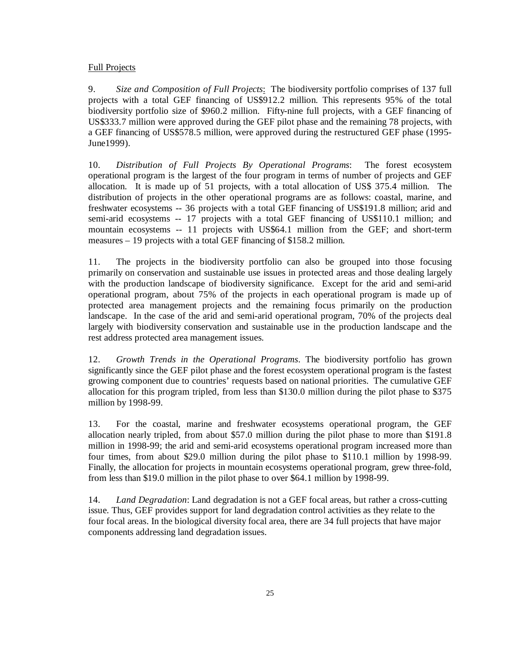## Full Projects

9. *Size and Composition of Full Projects*: The biodiversity portfolio comprises of 137 full projects with a total GEF financing of US\$912.2 million. This represents 95% of the total biodiversity portfolio size of \$960.2 million. Fifty-nine full projects, with a GEF financing of US\$333.7 million were approved during the GEF pilot phase and the remaining 78 projects, with a GEF financing of US\$578.5 million, were approved during the restructured GEF phase (1995- June1999).

10. *Distribution of Full Projects By Operational Programs*: The forest ecosystem operational program is the largest of the four program in terms of number of projects and GEF allocation. It is made up of 51 projects, with a total allocation of US\$ 375.4 million. The distribution of projects in the other operational programs are as follows: coastal, marine, and freshwater ecosystems -- 36 projects with a total GEF financing of US\$191.8 million; arid and semi-arid ecosystems -- 17 projects with a total GEF financing of US\$110.1 million; and mountain ecosystems -- 11 projects with US\$64.1 million from the GEF; and short-term measures – 19 projects with a total GEF financing of \$158.2 million.

11. The projects in the biodiversity portfolio can also be grouped into those focusing primarily on conservation and sustainable use issues in protected areas and those dealing largely with the production landscape of biodiversity significance. Except for the arid and semi-arid operational program, about 75% of the projects in each operational program is made up of protected area management projects and the remaining focus primarily on the production landscape. In the case of the arid and semi-arid operational program, 70% of the projects deal largely with biodiversity conservation and sustainable use in the production landscape and the rest address protected area management issues.

12. *Growth Trends in the Operational Programs*. The biodiversity portfolio has grown significantly since the GEF pilot phase and the forest ecosystem operational program is the fastest growing component due to countries' requests based on national priorities. The cumulative GEF allocation for this program tripled, from less than \$130.0 million during the pilot phase to \$375 million by 1998-99.

13. For the coastal, marine and freshwater ecosystems operational program, the GEF allocation nearly tripled, from about \$57.0 million during the pilot phase to more than \$191.8 million in 1998-99; the arid and semi-arid ecosystems operational program increased more than four times, from about \$29.0 million during the pilot phase to \$110.1 million by 1998-99. Finally, the allocation for projects in mountain ecosystems operational program, grew three-fold, from less than \$19.0 million in the pilot phase to over \$64.1 million by 1998-99.

14. *Land Degradation*: Land degradation is not a GEF focal areas, but rather a cross-cutting issue. Thus, GEF provides support for land degradation control activities as they relate to the four focal areas. In the biological diversity focal area, there are 34 full projects that have major components addressing land degradation issues.